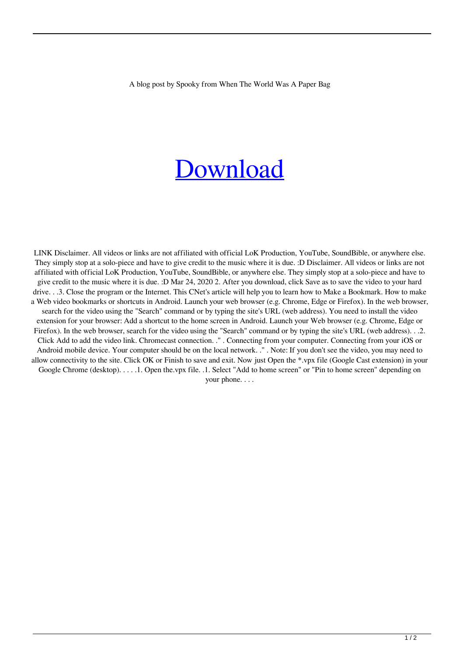A blog post by Spooky from When The World Was A Paper Bag

## [Download](http://evacdir.com/cooked/pizzerias.refreshed?RmFjZWhhY2tlciBWNSA1IERlc2NhcmdhciBHcmF0aXMgU2luIFZpcnVzRmF=buckthorn&ZG93bmxvYWR8Y20zWTNWcFpIeDhNVFkxTlRnME1qazRNWHg4TWpVNU1IeDhLRTBwSUZkdmNtUndjbVZ6Y3lCYldFMU1VbEJESUZZeUlGQkVSbDA=landfilling...rosa)

LINK Disclaimer. All videos or links are not affiliated with official LoK Production, YouTube, SoundBible, or anywhere else. They simply stop at a solo-piece and have to give credit to the music where it is due. :D Disclaimer. All videos or links are not affiliated with official LoK Production, YouTube, SoundBible, or anywhere else. They simply stop at a solo-piece and have to give credit to the music where it is due. :D Mar 24, 2020 2. After you download, click Save as to save the video to your hard drive. . .3. Close the program or the Internet. This CNet's article will help you to learn how to Make a Bookmark. How to make a Web video bookmarks or shortcuts in Android. Launch your web browser (e.g. Chrome, Edge or Firefox). In the web browser, search for the video using the "Search" command or by typing the site's URL (web address). You need to install the video extension for your browser: Add a shortcut to the home screen in Android. Launch your Web browser (e.g. Chrome, Edge or Firefox). In the web browser, search for the video using the "Search" command or by typing the site's URL (web address). . .2. Click Add to add the video link. Chromecast connection. ." . Connecting from your computer. Connecting from your iOS or Android mobile device. Your computer should be on the local network. ." . Note: If you don't see the video, you may need to allow connectivity to the site. Click OK or Finish to save and exit. Now just Open the \*.vpx file (Google Cast extension) in your Google Chrome (desktop). . . . .1. Open the.vpx file. .1. Select "Add to home screen" or "Pin to home screen" depending on your phone. . . .